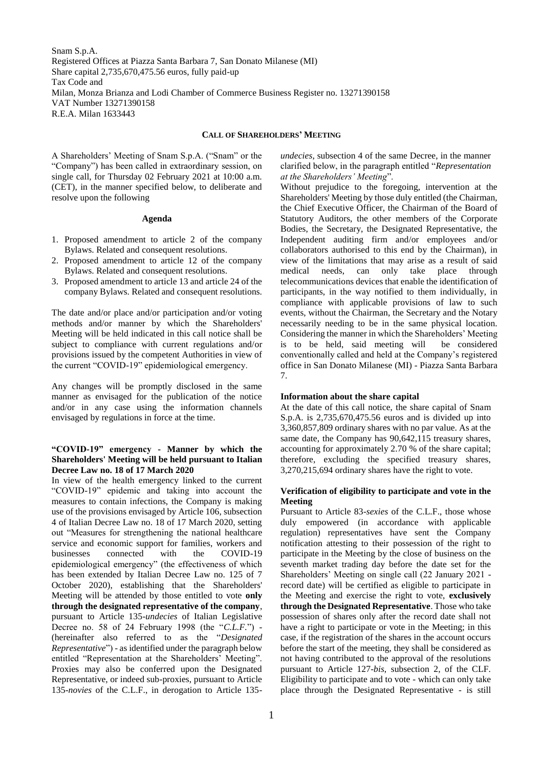Snam S.p.A. Registered Offices at Piazza Santa Barbara 7, San Donato Milanese (MI) Share capital 2,735,670,475.56 euros, fully paid-up Tax Code and Milan, Monza Brianza and Lodi Chamber of Commerce Business Register no. 13271390158 VAT Number 13271390158 R.E.A. Milan 1633443

#### **CALL OF SHAREHOLDERS' MEETING**

A Shareholders' Meeting of Snam S.p.A. ("Snam" or the "Company") has been called in extraordinary session, on single call, for Thursday 02 February 2021 at 10:00 a.m. (CET), in the manner specified below, to deliberate and resolve upon the following

#### **Agenda**

- 1. Proposed amendment to article 2 of the company Bylaws. Related and consequent resolutions.
- 2. Proposed amendment to article 12 of the company Bylaws. Related and consequent resolutions.
- 3. Proposed amendment to article 13 and article 24 of the company Bylaws. Related and consequent resolutions.

The date and/or place and/or participation and/or voting methods and/or manner by which the Shareholders' Meeting will be held indicated in this call notice shall be subject to compliance with current regulations and/or provisions issued by the competent Authorities in view of the current "COVID-19" epidemiological emergency.

Any changes will be promptly disclosed in the same manner as envisaged for the publication of the notice and/or in any case using the information channels envisaged by regulations in force at the time.

## **"COVID-19" emergency - Manner by which the Shareholders' Meeting will be held pursuant to Italian Decree Law no. 18 of 17 March 2020**

In view of the health emergency linked to the current "COVID-19" epidemic and taking into account the measures to contain infections, the Company is making use of the provisions envisaged by Article 106, subsection 4 of Italian Decree Law no. 18 of 17 March 2020, setting out "Measures for strengthening the national healthcare service and economic support for families, workers and businesses connected with the COVID-19 epidemiological emergency" (the effectiveness of which has been extended by Italian Decree Law no. 125 of 7 October 2020), establishing that the Shareholders' Meeting will be attended by those entitled to vote **only through the designated representative of the company**, pursuant to Article 135-*undecies* of Italian Legislative Decree no. 58 of 24 February 1998 (the "*C.L.F.*") - (hereinafter also referred to as the "*Designated Representative*") - as identified under the paragraph below entitled "Representation at the Shareholders' Meeting". Proxies may also be conferred upon the Designated Representative, or indeed sub-proxies, pursuant to Article 135-*novies* of the C.L.F., in derogation to Article 135-

*undecies*, subsection 4 of the same Decree, in the manner clarified below, in the paragraph entitled "*Representation at the Shareholders' Meeting*".

Without prejudice to the foregoing, intervention at the Shareholders' Meeting by those duly entitled (the Chairman, the Chief Executive Officer, the Chairman of the Board of Statutory Auditors, the other members of the Corporate Bodies, the Secretary, the Designated Representative, the Independent auditing firm and/or employees and/or collaborators authorised to this end by the Chairman), in view of the limitations that may arise as a result of said medical needs, can only take place through telecommunications devices that enable the identification of participants, in the way notified to them individually, in compliance with applicable provisions of law to such events, without the Chairman, the Secretary and the Notary necessarily needing to be in the same physical location. Considering the manner in which the Shareholders' Meeting is to be held, said meeting will be considered conventionally called and held at the Company's registered office in San Donato Milanese (MI) - Piazza Santa Barbara 7.

#### **Information about the share capital**

At the date of this call notice, the share capital of Snam S.p.A. is 2,735,670,475.56 euros and is divided up into 3,360,857,809 ordinary shares with no par value. As at the same date, the Company has 90,642,115 treasury shares, accounting for approximately 2.70 % of the share capital; therefore, excluding the specified treasury shares, 3,270,215,694 ordinary shares have the right to vote.

### **Verification of eligibility to participate and vote in the Meeting**

Pursuant to Article 83-*sexies* of the C.L.F., those whose duly empowered (in accordance with applicable regulation) representatives have sent the Company notification attesting to their possession of the right to participate in the Meeting by the close of business on the seventh market trading day before the date set for the Shareholders' Meeting on single call (22 January 2021 record date) will be certified as eligible to participate in the Meeting and exercise the right to vote, **exclusively through the Designated Representative**. Those who take possession of shares only after the record date shall not have a right to participate or vote in the Meeting; in this case, if the registration of the shares in the account occurs before the start of the meeting, they shall be considered as not having contributed to the approval of the resolutions pursuant to Article 127-*bis*, subsection 2, of the CLF. Eligibility to participate and to vote - which can only take place through the Designated Representative - is still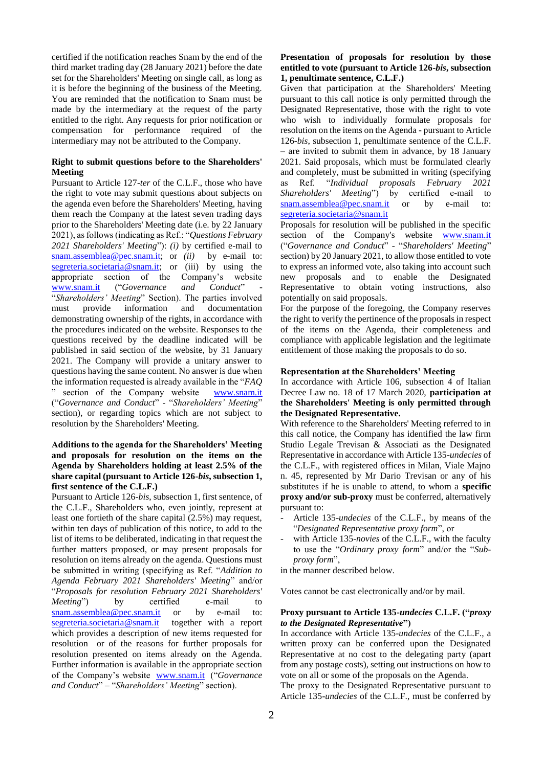certified if the notification reaches Snam by the end of the third market trading day (28 January 2021) before the date set for the Shareholders' Meeting on single call, as long as it is before the beginning of the business of the Meeting. You are reminded that the notification to Snam must be made by the intermediary at the request of the party entitled to the right. Any requests for prior notification or compensation for performance required of the intermediary may not be attributed to the Company.

#### **Right to submit questions before to the Shareholders' Meeting**

Pursuant to Article 127-*ter* of the C.L.F., those who have the right to vote may submit questions about subjects on the agenda even before the Shareholders' Meeting, having them reach the Company at the latest seven trading days prior to the Shareholders' Meeting date (i.e. by 22 January 2021), as follows (indicating as Ref.: "*Questions February 2021 Shareholders' Meeting*"): *(i)* by certified e-mail to [snam.assemblea@pec.snam.it;](mailto:snam.assemblea@pec.snam.it) or *(ii)* by e-mail to: [segreteria.societaria@snam.it;](mailto:segreteria.societaria@snam.it) or (iii) by using the appropriate section of the Company's website [www.snam.it](http://www.snam.it/) ("Governance and Conduct" "*Shareholders' Meeting*" Section). The parties involved must provide information and documentation demonstrating ownership of the rights, in accordance with the procedures indicated on the website. Responses to the questions received by the deadline indicated will be published in said section of the website, by 31 January 2021. The Company will provide a unitary answer to questions having the same content. No answer is due when the information requested is already available in the "*FAQ* " section of the Company website [www.snam.it](http://www.snam.it/) ("*Governance and Conduct*" - "*Shareholders' Meeting*" section), or regarding topics which are not subject to resolution by the Shareholders' Meeting.

# **Additions to the agenda for the Shareholders' Meeting and proposals for resolution on the items on the Agenda by Shareholders holding at least 2.5% of the share capital (pursuant to Article 126-***bis***, subsection 1, first sentence of the C.L.F.)**

Pursuant to Article 126*-bis*, subsection 1, first sentence, of the C.L.F., Shareholders who, even jointly, represent at least one fortieth of the share capital (2.5%) may request, within ten days of publication of this notice, to add to the list of items to be deliberated, indicating in that request the further matters proposed, or may present proposals for resolution on items already on the agenda. Questions must be submitted in writing (specifying as Ref. "*Addition to Agenda February 2021 Shareholders' Meeting*" and/or "*Proposals for resolution February 2021 Shareholders' Meeting*") by certified e-mail to [snam.assemblea@pec.snam.it](mailto:snam.assemblea@pec.snam.it) or by e-mail to: [segreteria.societaria@snam.it](mailto:segreteria.societaria@snam.it) together with a report which provides a description of new items requested for resolution or of the reasons for further proposals for resolution presented on items already on the Agenda. Further information is available in the appropriate section of the Company's website [www.snam.it](http://www.snam.it/) ("*Governance and Conduct*" – "*Shareholders' Meeting*" section).

## **Presentation of proposals for resolution by those entitled to vote (pursuant to Article 126-***bis***, subsection 1, penultimate sentence, C.L.F.)**

Given that participation at the Shareholders' Meeting pursuant to this call notice is only permitted through the Designated Representative, those with the right to vote who wish to individually formulate proposals for resolution on the items on the Agenda - pursuant to Article 126-*bis*, subsection 1, penultimate sentence of the C.L.F. – are invited to submit them in advance, by 18 January 2021. Said proposals, which must be formulated clearly and completely, must be submitted in writing (specifying as Ref. "*Individual proposals February 2021 Shareholders' Meeting*") by certified e-mail to [snam.assemblea@pec.snam.it](mailto:snam.assemblea@pec.snam.it) or by e-mail to: [segreteria.societaria@snam.it](mailto:segreteria.societaria@snam.it) 

Proposals for resolution will be published in the specific section of the Company's website [www.snam.it](http://www.snam.it/) ("*Governance and Conduct*" - "*Shareholders' Meeting*" section) by 20 January 2021, to allow those entitled to vote to express an informed vote, also taking into account such new proposals and to enable the Designated Representative to obtain voting instructions, also potentially on said proposals.

For the purpose of the foregoing, the Company reserves the right to verify the pertinence of the proposals in respect of the items on the Agenda, their completeness and compliance with applicable legislation and the legitimate entitlement of those making the proposals to do so.

## **Representation at the Shareholders' Meeting**

In accordance with Article 106, subsection 4 of Italian Decree Law no. 18 of 17 March 2020, **participation at the Shareholders' Meeting is only permitted through the Designated Representative.**

With reference to the Shareholders' Meeting referred to in this call notice, the Company has identified the law firm Studio Legale Trevisan & Associati as the Designated Representative in accordance with Article 135-*undecies* of the C.L.F., with registered offices in Milan, Viale Majno n. 45, represented by Mr Dario Trevisan or any of his substitutes if he is unable to attend, to whom a **specific proxy and/or sub-proxy** must be conferred, alternatively pursuant to:

- Article 135-*undecies* of the C.L.F., by means of the "*Designated Representative proxy form*", or
- with Article 135-*novies* of the C.L.F., with the faculty to use the "*Ordinary proxy form*" and/or the "*Subproxy form*",

in the manner described below.

Votes cannot be cast electronically and/or by mail.

### **Proxy pursuant to Article 135-***undecies* **C.L.F. ("***proxy to the Designated Representative***")**

In accordance with Article 135-*undecies* of the C.L.F., a written proxy can be conferred upon the Designated Representative at no cost to the delegating party (apart from any postage costs), setting out instructions on how to vote on all or some of the proposals on the Agenda.

The proxy to the Designated Representative pursuant to Article 135-*undecies* of the C.L.F., must be conferred by